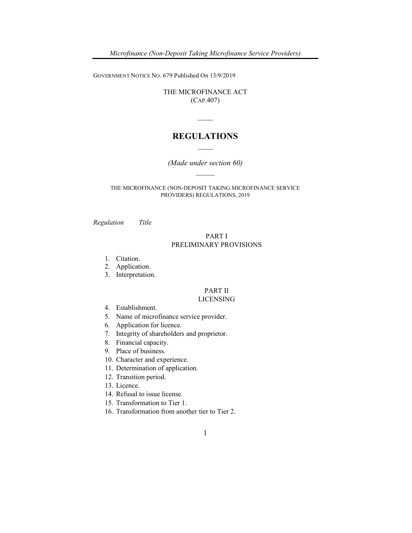Microfinance (Non-Deposit Taking Microfinance Service Providers)

GOVERNMENT NOTICE NO. 679 Published On 13/9/2019

THE MICROFINANCE ACT (CAP.407)

# REGULATIONS  $\mathcal{L}$

(Made under section 60)  $\mathcal{L}_\mathcal{L}$ 

THE MICROFINANCE (NON-DEPOSIT TAKING MICROFINANCE SERVICE PROVIDERS) REGULATIONS, 2019

Regulation Title

### PART I PRELIMINARY PROVISIONS

- 1. Citation.
- 2. Application.
- 3. Interpretation.

# PART II

### LICENSING

- 4. Establishment.
- 5. Name of microfinance service provider.
- 6. Application for licence.
- 7. Integrity of shareholders and proprietor.
- 8. Financial capacity.
- 9. Place of business.
- 10. Character and experience.
- 11. Determination of application.
- 12. Transition period.
- 13. Licence.
- 14. Refusal to issue license.
- 15. Transformation to Tier 1.
- 16. Transformation from another tier to Tier 2.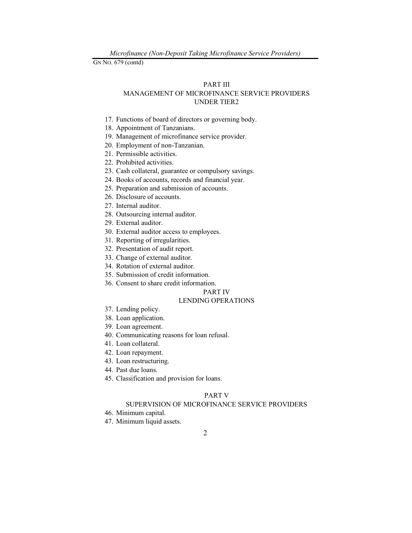#### PART III

# MANAGEMENT OF MICROFINANCE SERVICE PROVIDERS UNDER TIER2

- 17. Functions of board of directors or governing body.
- 18. Appointment of Tanzanians.
- 19. Management of microfinance service provider.
- 20. Employment of non-Tanzanian.
- 21. Permissible activities.
- 22. Prohibited activities.
- 23. Cash collateral, guarantee or compulsory savings.
- 24. Books of accounts, records and financial year.
- 25. Preparation and submission of accounts.
- 26. Disclosure of accounts.
- 27. Internal auditor.
- 28. Outsourcing internal auditor.
- 29. External auditor.
- 30. External auditor access to employees.
- 31. Reporting of irregularities.
- 32. Presentation of audit report.
- 33. Change of external auditor.
- 34. Rotation of external auditor.
- 35. Submission of credit information.
- 36. Consent to share credit information.

#### PART IV

#### LENDING OPERATIONS

- 37. Lending policy.
- 38. Loan application.
- 39. Loan agreement.
- 40. Communicating reasons for loan refusal.
- 41. Loan collateral.
- 42. Loan repayment.
- 43. Loan restructuring.
- 44. Past due loans.
- 45. Classification and provision for loans.

### PART V

### SUPERVISION OF MICROFINANCE SERVICE PROVIDERS

- 46. Minimum capital.
- 47. Minimum liquid assets.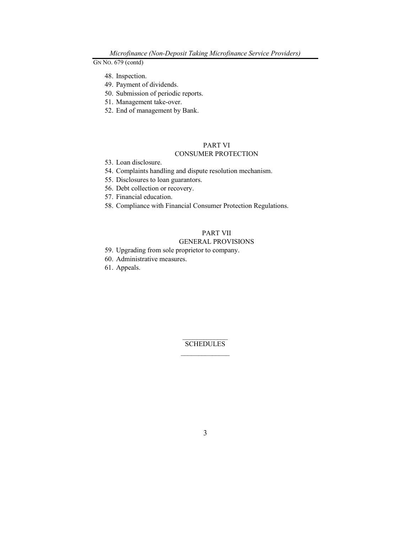- 48. Inspection.
- 49. Payment of dividends.
- 50. Submission of periodic reports.
- 51. Management take-over.
- 52. End of management by Bank.

# PART VI

# CONSUMER PROTECTION

- 53. Loan disclosure.
- 54. Complaints handling and dispute resolution mechanism.
- 55. Disclosures to loan guarantors.
- 56. Debt collection or recovery.
- 57. Financial education.
- 58. Compliance with Financial Consumer Protection Regulations.

# PART VII

### GENERAL PROVISIONS

- 59. Upgrading from sole proprietor to company.
- 60. Administrative measures.
- 61. Appeals.

 $\mathcal{L}=\mathcal{L}^{\mathcal{L}}$ **SCHEDULES**  $\mathcal{L}_\text{max}$  and  $\mathcal{L}_\text{max}$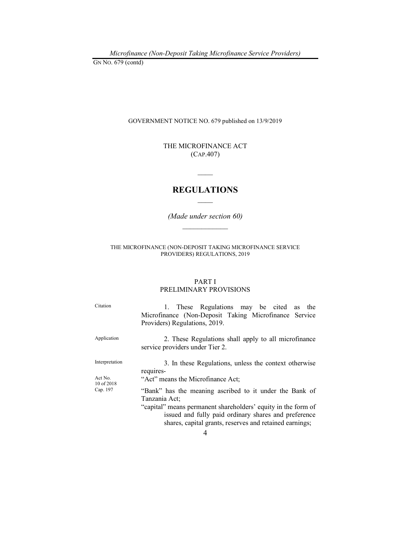Microfinance (Non-Deposit Taking Microfinance Service Providers) GN NO. 679 (contd)

GOVERNMENT NOTICE NO. 679 published on 13/9/2019

THE MICROFINANCE ACT (CAP.407)

# REGULATIONS  $\mathcal{L}_\mathcal{L}$

 $\mathcal{L}$ 

(Made under section 60)  $\frac{1}{2}$  ,  $\frac{1}{2}$  ,  $\frac{1}{2}$  ,  $\frac{1}{2}$  ,  $\frac{1}{2}$  ,  $\frac{1}{2}$  ,  $\frac{1}{2}$  ,  $\frac{1}{2}$ 

THE MICROFINANCE (NON-DEPOSIT TAKING MICROFINANCE SERVICE PROVIDERS) REGULATIONS, 2019

### PART I PRELIMINARY PROVISIONS

Citation 1. These Regulations may be cited as the Microfinance (Non-Deposit Taking Microfinance Service Providers) Regulations, 2019. Application 2. These Regulations shall apply to all microfinance service providers under Tier 2. Interpretation 3. In these Regulations, unless the context otherwise requires-Act No. 10 of 2018<br>Cap. 197 "Act" means the Microfinance Act; "Bank" has the meaning ascribed to it under the Bank of Tanzania Act; "capital" means permanent shareholders' equity in the form of issued and fully paid ordinary shares and preference shares, capital grants, reserves and retained earnings;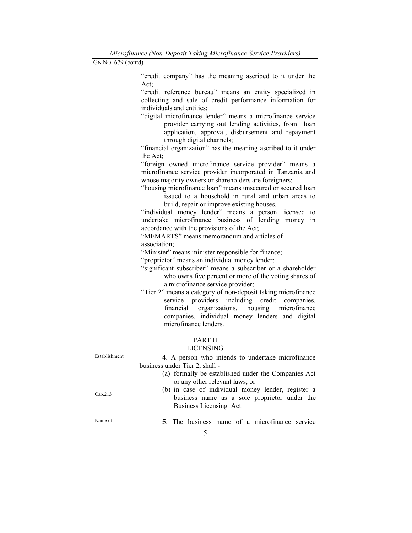Microfinance (Non-Deposit Taking Microfinance Service Providers) GN NO. 679 (contd)

> "credit company" has the meaning ascribed to it under the Act;

> "credit reference bureau" means an entity specialized in collecting and sale of credit performance information for individuals and entities;

> "digital microfinance lender" means a microfinance service provider carrying out lending activities, from loan application, approval, disbursement and repayment through digital channels;

> "financial organization" has the meaning ascribed to it under the Act;

> "foreign owned microfinance service provider" means a microfinance service provider incorporated in Tanzania and whose majority owners or shareholders are foreigners;

> "housing microfinance loan" means unsecured or secured loan issued to a household in rural and urban areas to build, repair or improve existing houses.

> "individual money lender" means a person licensed to undertake microfinance business of lending money in accordance with the provisions of the Act;

 "MEMARTS" means memorandum and articles of association;

"Minister" means minister responsible for finance;

"proprietor" means an individual money lender;

- "significant subscriber" means a subscriber or a shareholder who owns five percent or more of the voting shares of a microfinance service provider;
- "Tier 2" means a category of non-deposit taking microfinance service providers including credit companies, financial organizations, housing microfinance companies, individual money lenders and digital microfinance lenders.

## PART II

### LICENSING

| Establishment | 4. A person who intends to undertake microfinance   |  |  |  |  |
|---------------|-----------------------------------------------------|--|--|--|--|
|               | business under Tier 2, shall -                      |  |  |  |  |
|               | (a) formally be established under the Companies Act |  |  |  |  |
|               | or any other relevant laws; or                      |  |  |  |  |
|               | (b) in case of individual money lender, register a  |  |  |  |  |
| Cap.213       | business name as a sole proprietor under the        |  |  |  |  |
|               | Business Licensing Act.                             |  |  |  |  |
|               |                                                     |  |  |  |  |
| Name of       | 5. The business name of a microfinance service      |  |  |  |  |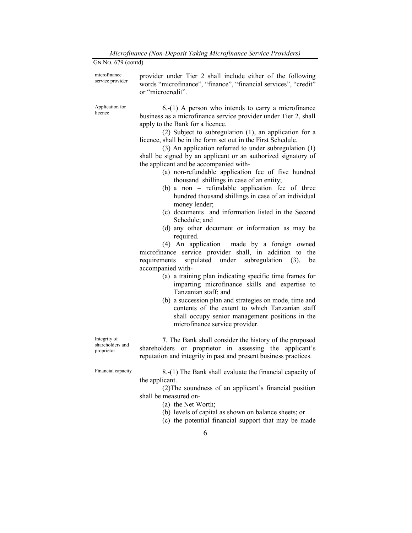| GN No. 679 (contd)                             |                                                                                                                                                                                                                                                                                                                                                                                                                                                                                                                                                                                                                                                                                                                                                                                                                                                                                                                                                                                                                                                                                                                                       |
|------------------------------------------------|---------------------------------------------------------------------------------------------------------------------------------------------------------------------------------------------------------------------------------------------------------------------------------------------------------------------------------------------------------------------------------------------------------------------------------------------------------------------------------------------------------------------------------------------------------------------------------------------------------------------------------------------------------------------------------------------------------------------------------------------------------------------------------------------------------------------------------------------------------------------------------------------------------------------------------------------------------------------------------------------------------------------------------------------------------------------------------------------------------------------------------------|
| microfinance<br>service provider               | provider under Tier 2 shall include either of the following<br>words "microfinance", "finance", "financial services", "credit"<br>or "microcredit".                                                                                                                                                                                                                                                                                                                                                                                                                                                                                                                                                                                                                                                                                                                                                                                                                                                                                                                                                                                   |
| Application for<br>licence                     | $6-(1)$ A person who intends to carry a microfinance<br>business as a microfinance service provider under Tier 2, shall<br>apply to the Bank for a licence.<br>(2) Subject to subregulation (1), an application for a<br>licence, shall be in the form set out in the First Schedule.<br>(3) An application referred to under subregulation (1)<br>shall be signed by an applicant or an authorized signatory of<br>the applicant and be accompanied with-<br>(a) non-refundable application fee of five hundred<br>thousand shillings in case of an entity;<br>$(b)$ a non – refundable application fee of three<br>hundred thousand shillings in case of an individual<br>money lender;<br>(c) documents and information listed in the Second<br>Schedule; and<br>(d) any other document or information as may be<br>required.<br>(4) An application made by a foreign owned<br>microfinance service provider shall, in addition to the<br>requirements stipulated under subregulation (3),<br>be<br>accompanied with-<br>(a) a training plan indicating specific time frames for<br>imparting microfinance skills and expertise to |
|                                                | Tanzanian staff; and<br>(b) a succession plan and strategies on mode, time and<br>contents of the extent to which Tanzanian staff<br>shall occupy senior management positions in the<br>microfinance service provider.                                                                                                                                                                                                                                                                                                                                                                                                                                                                                                                                                                                                                                                                                                                                                                                                                                                                                                                |
| Integrity of<br>shareholders and<br>proprietor | 7. The Bank shall consider the history of the proposed<br>shareholders or proprietor in assessing the applicant's<br>reputation and integrity in past and present business practices.                                                                                                                                                                                                                                                                                                                                                                                                                                                                                                                                                                                                                                                                                                                                                                                                                                                                                                                                                 |
| Financial capacity                             | 8.-(1) The Bank shall evaluate the financial capacity of<br>the applicant.<br>(2) The soundness of an applicant's financial position<br>shall be measured on-<br>(a) the Net Worth;<br>(b) levels of capital as shown on balance sheets; or                                                                                                                                                                                                                                                                                                                                                                                                                                                                                                                                                                                                                                                                                                                                                                                                                                                                                           |

(c) the potential financial support that may be made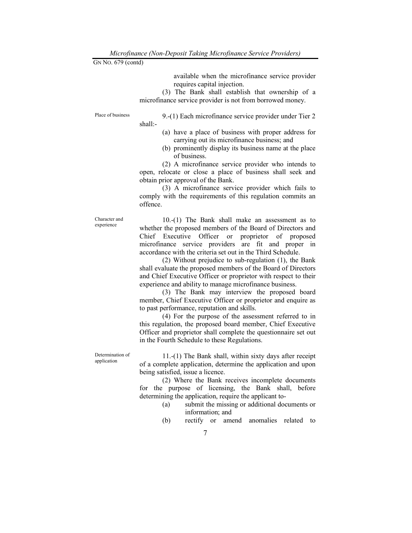available when the microfinance service provider requires capital injection.

 (3) The Bank shall establish that ownership of a microfinance service provider is not from borrowed money.

Place of business 9.-(1) Each microfinance service provider under Tier 2 shall:-

- (a) have a place of business with proper address for carrying out its microfinance business; and
- (b) prominently display its business name at the place of business.

 (2) A microfinance service provider who intends to open, relocate or close a place of business shall seek and obtain prior approval of the Bank.

 (3) A microfinance service provider which fails to comply with the requirements of this regulation commits an offence.

Character and experience

 10.-(1) The Bank shall make an assessment as to whether the proposed members of the Board of Directors and Chief Executive Officer or proprietor of proposed microfinance service providers are fit and proper in accordance with the criteria set out in the Third Schedule.

 (2) Without prejudice to sub-regulation (1), the Bank shall evaluate the proposed members of the Board of Directors and Chief Executive Officer or proprietor with respect to their experience and ability to manage microfinance business.

 (3) The Bank may interview the proposed board member, Chief Executive Officer or proprietor and enquire as to past performance, reputation and skills.

 (4) For the purpose of the assessment referred to in this regulation, the proposed board member, Chief Executive Officer and proprietor shall complete the questionnaire set out in the Fourth Schedule to these Regulations.

Determination of application

 11.-(1) The Bank shall, within sixty days after receipt of a complete application, determine the application and upon being satisfied, issue a licence.

 (2) Where the Bank receives incomplete documents for the purpose of licensing, the Bank shall, before determining the application, require the applicant to-

- (a) submit the missing or additional documents or information; and
- (b) rectify or amend anomalies related to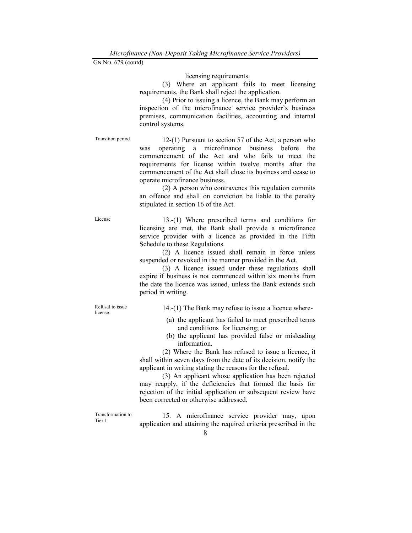licensing requirements.

 (3) Where an applicant fails to meet licensing requirements, the Bank shall reject the application.

 (4) Prior to issuing a licence, the Bank may perform an inspection of the microfinance service provider's business premises, communication facilities, accounting and internal control systems.

Transition period 12-(1) Pursuant to section 57 of the Act, a person who was operating a microfinance business before the commencement of the Act and who fails to meet the requirements for license within twelve months after the commencement of the Act shall close its business and cease to operate microfinance business.

> (2) A person who contravenes this regulation commits an offence and shall on conviction be liable to the penalty stipulated in section 16 of the Act.

License 13.-(1) Where prescribed terms and conditions for licensing are met, the Bank shall provide a microfinance service provider with a licence as provided in the Fifth Schedule to these Regulations.

> (2) A licence issued shall remain in force unless suspended or revoked in the manner provided in the Act.

> (3) A licence issued under these regulations shall expire if business is not commenced within six months from the date the licence was issued, unless the Bank extends such period in writing.

Refusal to issue license

14.-(1) The Bank may refuse to issue a licence where-

- (a) the applicant has failed to meet prescribed terms and conditions for licensing; or
- (b) the applicant has provided false or misleading information.

 (2) Where the Bank has refused to issue a licence, it shall within seven days from the date of its decision, notify the applicant in writing stating the reasons for the refusal.

 (3) An applicant whose application has been rejected may reapply, if the deficiencies that formed the basis for rejection of the initial application or subsequent review have been corrected or otherwise addressed.

Transformation to Tier 1

 15. A microfinance service provider may, upon application and attaining the required criteria prescribed in the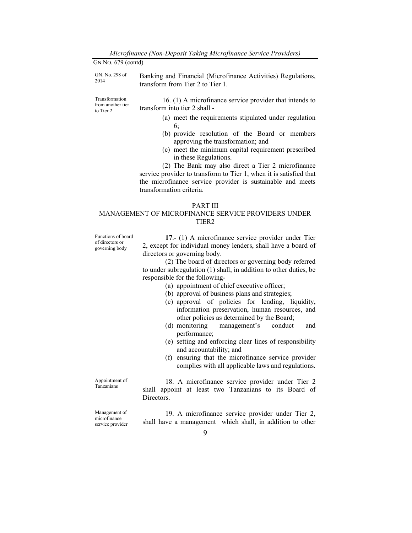| GN No. 679 (contd)                               |                                                                                                  |
|--------------------------------------------------|--------------------------------------------------------------------------------------------------|
| GN. No. 298 of<br>2014                           | Banking and Financial (Microfinance Activities) Regulations,<br>transform from Tier 2 to Tier 1. |
| Transformation<br>from another tier<br>to Tier 2 | 16. (1) A microfinance service provider that intends to<br>transform into tier 2 shall -         |
|                                                  | (a) meet the requirements stipulated under regulation<br>6:                                      |
|                                                  | (b) provide resolution of the Board or members<br>approving the transformation; and              |
|                                                  | (c) meet the minimum capital requirement prescribed<br>in these Regulations.                     |
|                                                  | (2) The Bank may also direct a Tier 2 microfinance                                               |
|                                                  | service provider to transform to Tier 1, when it is satisfied that                               |

service provider to transform to Tier 1, when it is satisfied that the microfinance service provider is sustainable and meets transformation criteria.

### PART III

## MANAGEMENT OF MICROFINANCE SERVICE PROVIDERS UNDER TIER2

Functions of board of directors or governing body

17.- (1) A microfinance service provider under Tier 2, except for individual money lenders, shall have a board of directors or governing body.

 (2) The board of directors or governing body referred to under subregulation (1) shall, in addition to other duties, be responsible for the following-

- (a) appointment of chief executive officer;
- (b) approval of business plans and strategies;
- (c) approval of policies for lending, liquidity, information preservation, human resources, and other policies as determined by the Board;
- (d) monitoring management's conduct and performance;
- (e) setting and enforcing clear lines of responsibility and accountability; and
- (f) ensuring that the microfinance service provider complies with all applicable laws and regulations.

Appointment of Tanzanians

 18. A microfinance service provider under Tier 2 shall appoint at least two Tanzanians to its Board of Directors.

Management of microfinance service provider

 19. A microfinance service provider under Tier 2, shall have a management which shall, in addition to other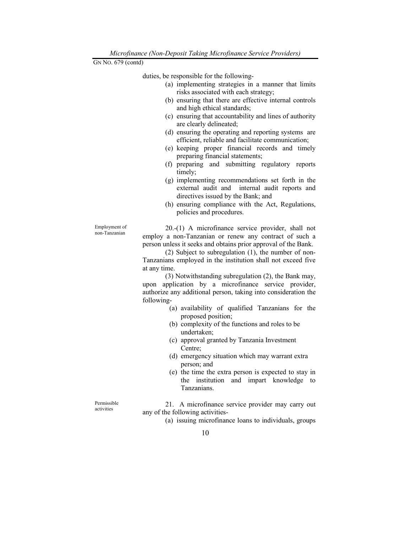duties, be responsible for the following-

- (a) implementing strategies in a manner that limits risks associated with each strategy;
- (b) ensuring that there are effective internal controls and high ethical standards;
- (c) ensuring that accountability and lines of authority are clearly delineated;
- (d) ensuring the operating and reporting systems are efficient, reliable and facilitate communication;
- (e) keeping proper financial records and timely preparing financial statements;
- (f) preparing and submitting regulatory reports timely;
- (g) implementing recommendations set forth in the external audit and internal audit reports and directives issued by the Bank; and
- (h) ensuring compliance with the Act, Regulations, policies and procedures.

 20.-(1) A microfinance service provider, shall not employ a non-Tanzanian or renew any contract of such a person unless it seeks and obtains prior approval of the Bank.

 (2) Subject to subregulation (1), the number of non-Tanzanians employed in the institution shall not exceed five at any time.

 (3) Notwithstanding subregulation (2), the Bank may, upon application by a microfinance service provider, authorize any additional person, taking into consideration the following-

- (a) availability of qualified Tanzanians for the proposed position;
- (b) complexity of the functions and roles to be undertaken;
- (c) approval granted by Tanzania Investment Centre;
- (d) emergency situation which may warrant extra person; and
- (e) the time the extra person is expected to stay in the institution and impart knowledge to Tanzanians.

Permissible activities

Employment of non-Tanzanian

> 21. A microfinance service provider may carry out any of the following activities-

> > (a) issuing microfinance loans to individuals, groups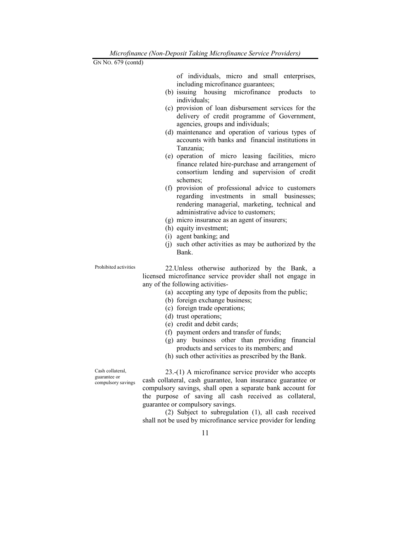of individuals, micro and small enterprises, including microfinance guarantees;

- (b) issuing housing microfinance products to individuals;
- (c) provision of loan disbursement services for the delivery of credit programme of Government, agencies, groups and individuals;
- (d) maintenance and operation of various types of accounts with banks and financial institutions in Tanzania;
- (e) operation of micro leasing facilities, micro finance related hire-purchase and arrangement of consortium lending and supervision of credit schemes;
- (f) provision of professional advice to customers regarding investments in small businesses; rendering managerial, marketing, technical and administrative advice to customers;
- (g) micro insurance as an agent of insurers;
- (h) equity investment;
- (i) agent banking; and
- (j) such other activities as may be authorized by the Bank.

Prohibited activities 22.Unless otherwise authorized by the Bank, a licensed microfinance service provider shall not engage in any of the following activities-

- (a) accepting any type of deposits from the public;
- (b) foreign exchange business;
- (c) foreign trade operations;
- (d) trust operations;
- (e) credit and debit cards;
- (f) payment orders and transfer of funds;
- (g) any business other than providing financial products and services to its members; and
- (h) such other activities as prescribed by the Bank.

Cash collateral, guarantee or compulsory savings

 23.-(1) A microfinance service provider who accepts cash collateral, cash guarantee, loan insurance guarantee or compulsory savings, shall open a separate bank account for the purpose of saving all cash received as collateral, guarantee or compulsory savings.

 (2) Subject to subregulation (1), all cash received shall not be used by microfinance service provider for lending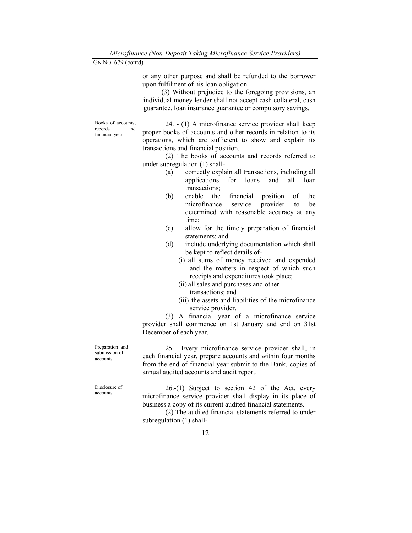or any other purpose and shall be refunded to the borrower upon fulfilment of his loan obligation.

 (3) Without prejudice to the foregoing provisions, an individual money lender shall not accept cash collateral, cash guarantee, loan insurance guarantee or compulsory savings.

Books of accounts, records and financial year

 24. - (1) A microfinance service provider shall keep proper books of accounts and other records in relation to its operations, which are sufficient to show and explain its transactions and financial position.

(2) The books of accounts and records referred to under subregulation (1) shall-

- (a) correctly explain all transactions, including all applications for loans and all loan transactions;
- (b) enable the financial position of the microfinance service provider to be determined with reasonable accuracy at any time;
- (c) allow for the timely preparation of financial statements; and
- (d) include underlying documentation which shall be kept to reflect details of-
	- (i) all sums of money received and expended and the matters in respect of which such receipts and expenditures took place;
	- (ii) all sales and purchases and other transactions; and
	- (iii) the assets and liabilities of the microfinance service provider.

 (3) A financial year of a microfinance service provider shall commence on 1st January and end on 31st December of each year.

 25. Every microfinance service provider shall, in each financial year, prepare accounts and within four months from the end of financial year submit to the Bank, copies of annual audited accounts and audit report.

 26.-(1) Subject to section 42 of the Act, every microfinance service provider shall display in its place of business a copy of its current audited financial statements.

 (2) The audited financial statements referred to under subregulation (1) shall-

Preparation and submission of accounts

Disclosure of accounts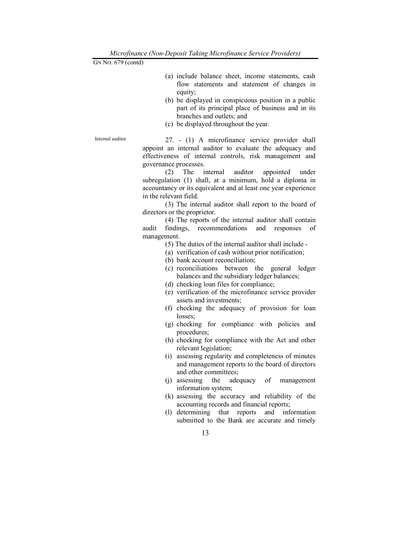- (a) include balance sheet, income statements, cash flow statements and statement of changes in equity;
- (b) be displayed in conspicuous position in a public part of its principal place of business and in its branches and outlets; and
- (c) be displayed throughout the year.

Internal auditor 27. - (1) A microfinance service provider shall appoint an internal auditor to evaluate the adequacy and effectiveness of internal controls, risk management and governance processes.

> (2) The internal auditor appointed under subregulation (1) shall, at a minimum, hold a diploma in accountancy or its equivalent and at least one year experience in the relevant field.

> (3) The internal auditor shall report to the board of directors or the proprietor.

> (4) The reports of the internal auditor shall contain audit findings, recommendations and responses of management.

- (5) The duties of the internal auditor shall include -
- (a) verification of cash without prior notification;
- (b) bank account reconciliation;
- (c) reconciliations between the general ledger balances and the subsidiary ledger balances;
- (d) checking loan files for compliance;
- (e) verification of the microfinance service provider assets and investments;
- (f) checking the adequacy of provision for loan losses;
- (g) checking for compliance with policies and procedures;
- (h) checking for compliance with the Act and other relevant legislation;
- (i) assessing regularity and completeness of minutes and management reports to the board of directors and other committees;
- (j) assessing the adequacy of management information system;
- (k) assessing the accuracy and reliability of the accounting records and financial reports;
- (l) determining that reports and information submitted to the Bank are accurate and timely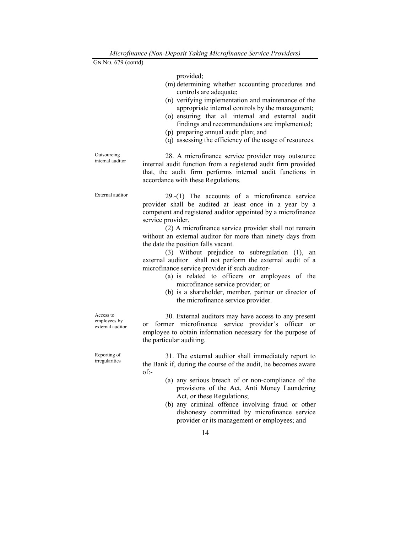provided;

- (m) determining whether accounting procedures and controls are adequate;
- (n) verifying implementation and maintenance of the appropriate internal controls by the management;
- (o) ensuring that all internal and external audit findings and recommendations are implemented;
- (p) preparing annual audit plan; and
- (q) assessing the efficiency of the usage of resources.

Outsourcing internal auditor 28. A microfinance service provider may outsource internal audit function from a registered audit firm provided that, the audit firm performs internal audit functions in accordance with these Regulations.

External auditor 29.-(1) The accounts of a microfinance service provider shall be audited at least once in a year by a competent and registered auditor appointed by a microfinance service provider.

> (2) A microfinance service provider shall not remain without an external auditor for more than ninety days from the date the position falls vacant.

> (3) Without prejudice to subregulation (1), an external auditor shall not perform the external audit of a microfinance service provider if such auditor-

- (a) is related to officers or employees of the microfinance service provider; or
- (b) is a shareholder, member, partner or director of the microfinance service provider.

Access to employees by external auditor

Reporting of irregularities

 30. External auditors may have access to any present or former microfinance service provider's officer or employee to obtain information necessary for the purpose of the particular auditing.

 31. The external auditor shall immediately report to the Bank if, during the course of the audit, he becomes aware of:-

- (a) any serious breach of or non-compliance of the provisions of the Act, Anti Money Laundering Act, or these Regulations;
- (b) any criminal offence involving fraud or other dishonesty committed by microfinance service provider or its management or employees; and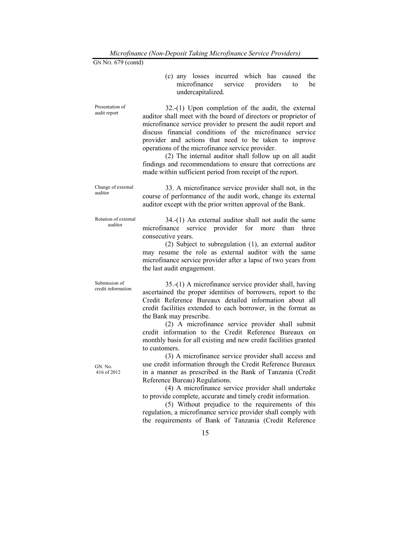|  |                   | (c) any losses incurred which has caused the |  |  |
|--|-------------------|----------------------------------------------|--|--|
|  |                   | microfinance service providers to be         |  |  |
|  | undercapitalized. |                                              |  |  |

 32.-(1) Upon completion of the audit, the external auditor shall meet with the board of directors or proprietor of microfinance service provider to present the audit report and discuss financial conditions of the microfinance service provider and actions that need to be taken to improve operations of the microfinance service provider.

 (2) The internal auditor shall follow up on all audit findings and recommendations to ensure that corrections are made within sufficient period from receipt of the report.

Change of external auditor

Presentation of audit report

> 33. A microfinance service provider shall not, in the course of performance of the audit work, change its external auditor except with the prior written approval of the Bank.

Rotation of external auditor

 34.-(1) An external auditor shall not audit the same microfinance service provider for more than three consecutive years.

 (2) Subject to subregulation (1), an external auditor may resume the role as external auditor with the same microfinance service provider after a lapse of two years from the last audit engagement.

Submission of credit information

GN. No. 416 of 2012

 35.-(1) A microfinance service provider shall, having ascertained the proper identities of borrowers, report to the Credit Reference Bureaux detailed information about all credit facilities extended to each borrower, in the format as the Bank may prescribe.

 (2) A microfinance service provider shall submit credit information to the Credit Reference Bureaux on monthly basis for all existing and new credit facilities granted to customers.

 (3) A microfinance service provider shall access and use credit information through the Credit Reference Bureaux in a manner as prescribed in the Bank of Tanzania (Credit Reference Bureau) Regulations.

 (4) A microfinance service provider shall undertake to provide complete, accurate and timely credit information.

 (5) Without prejudice to the requirements of this regulation, a microfinance service provider shall comply with the requirements of Bank of Tanzania (Credit Reference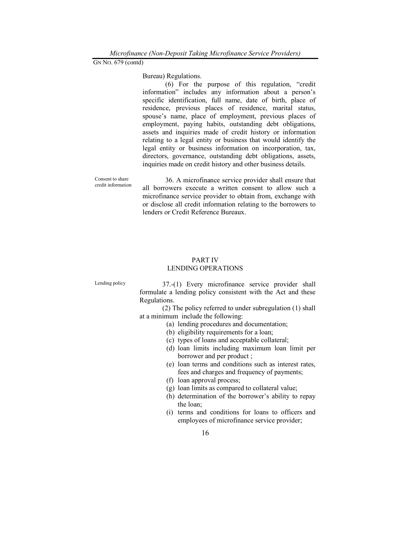Bureau) Regulations.

 (6) For the purpose of this regulation, "credit information" includes any information about a person's specific identification, full name, date of birth, place of residence, previous places of residence, marital status, spouse's name, place of employment, previous places of employment, paying habits, outstanding debt obligations, assets and inquiries made of credit history or information relating to a legal entity or business that would identify the legal entity or business information on incorporation, tax, directors, governance, outstanding debt obligations, assets, inquiries made on credit history and other business details.

Consent to share credit information 36. A microfinance service provider shall ensure that all borrowers execute a written consent to allow such a microfinance service provider to obtain from, exchange with or disclose all credit information relating to the borrowers to lenders or Credit Reference Bureaux.

# PART IV LENDING OPERATIONS

Lending policy 37.-(1) Every microfinance service provider shall formulate a lending policy consistent with the Act and these Regulations.

 (2) The policy referred to under subregulation (1) shall at a minimum include the following:

- (a) lending procedures and documentation;
- (b) eligibility requirements for a loan;
- (c) types of loans and acceptable collateral;
- (d) loan limits including maximum loan limit per borrower and per product ;
- (e) loan terms and conditions such as interest rates, fees and charges and frequency of payments;
- (f) loan approval process;
- (g) loan limits as compared to collateral value;
- (h) determination of the borrower's ability to repay the loan;
- (i) terms and conditions for loans to officers and employees of microfinance service provider;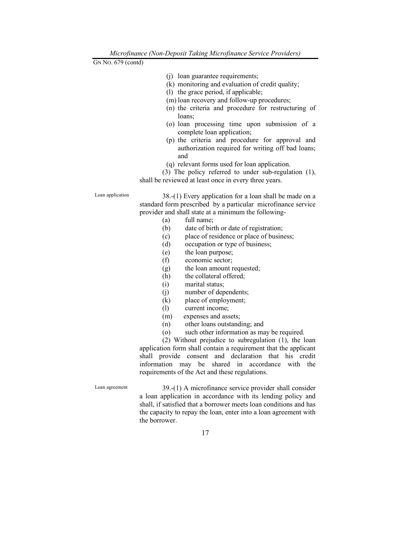- (j) loan guarantee requirements;
- (k) monitoring and evaluation of credit quality;
- (l) the grace period, if applicable;
- (m) loan recovery and follow-up procedures;
- (n) the criteria and procedure for restructuring of loans;
- (o) loan processing time upon submission of a complete loan application;
- (p) the criteria and procedure for approval and authorization required for writing off bad loans; and
- (q) relevant forms used for loan application.

 (3) The policy referred to under sub-regulation (1), shall be reviewed at least once in every three years.

Loan application 38.-(1) Every application for a loan shall be made on a standard form prescribed by a particular microfinance service provider and shall state at a minimum the following-

- (a) full name;
- (b) date of birth or date of registration;
- (c) place of residence or place of business;
- (d) occupation or type of business;
- (e) the loan purpose;
- (f) economic sector;
- (g) the loan amount requested;
- (h) the collateral offered;
- (i) marital status;
- (j) number of dependents;
- (k) place of employment;
- (l) current income;
- (m) expenses and assets;
- (n) other loans outstanding; and
- (o) such other information as may be required.

 (2) Without prejudice to subregulation (1), the loan application form shall contain a requirement that the applicant shall provide consent and declaration that his credit information may be shared in accordance with the requirements of the Act and these regulations.

Loan agreement 39.-(1) A microfinance service provider shall consider a loan application in accordance with its lending policy and shall, if satisfied that a borrower meets loan conditions and has the capacity to repay the loan, enter into a loan agreement with the borrower.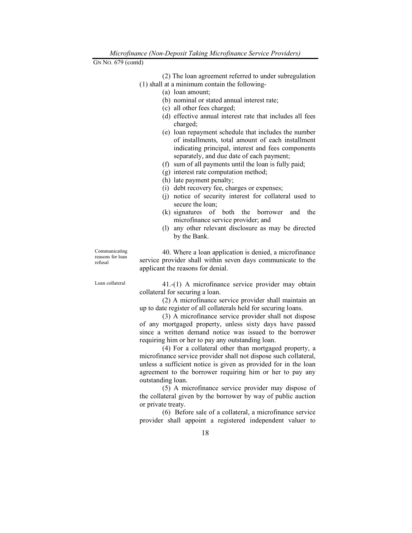(2) The loan agreement referred to under subregulation (1) shall at a minimum contain the following-

- (a) loan amount;
- (b) nominal or stated annual interest rate;
- (c) all other fees charged;
- (d) effective annual interest rate that includes all fees charged;
- (e) loan repayment schedule that includes the number of installments, total amount of each installment indicating principal, interest and fees components separately, and due date of each payment;
- (f) sum of all payments until the loan is fully paid;
- (g) interest rate computation method;
- (h) late payment penalty;
- (i) debt recovery fee, charges or expenses;
- (j) notice of security interest for collateral used to secure the loan;
- (k) signatures of both the borrower and the microfinance service provider; and
- (l) any other relevant disclosure as may be directed by the Bank.

Communicating reasons for loan refusal

 40. Where a loan application is denied, a microfinance service provider shall within seven days communicate to the applicant the reasons for denial.

Loan collateral 41.-(1) A microfinance service provider may obtain collateral for securing a loan.

> (2) A microfinance service provider shall maintain an up to date register of all collaterals held for securing loans.

> (3) A microfinance service provider shall not dispose of any mortgaged property, unless sixty days have passed since a written demand notice was issued to the borrower requiring him or her to pay any outstanding loan.

> (4) For a collateral other than mortgaged property, a microfinance service provider shall not dispose such collateral, unless a sufficient notice is given as provided for in the loan agreement to the borrower requiring him or her to pay any outstanding loan.

> (5) A microfinance service provider may dispose of the collateral given by the borrower by way of public auction or private treaty.

> (6) Before sale of a collateral, a microfinance service provider shall appoint a registered independent valuer to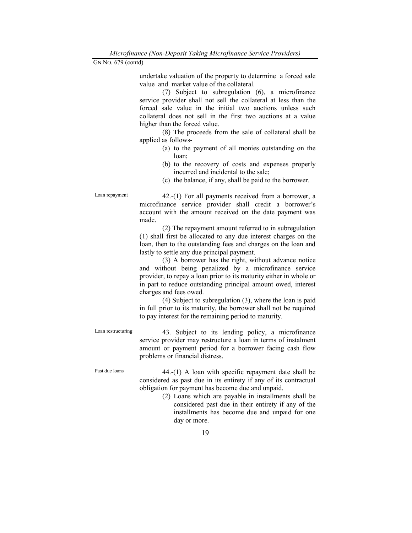undertake valuation of the property to determine a forced sale value and market value of the collateral.

 (7) Subject to subregulation (6), a microfinance service provider shall not sell the collateral at less than the forced sale value in the initial two auctions unless such collateral does not sell in the first two auctions at a value higher than the forced value.

 (8) The proceeds from the sale of collateral shall be applied as follows-

- (a) to the payment of all monies outstanding on the loan;
- (b) to the recovery of costs and expenses properly incurred and incidental to the sale;
- (c) the balance, if any, shall be paid to the borrower.

Loan repayment 42.-(1) For all payments received from a borrower, a microfinance service provider shall credit a borrower's account with the amount received on the date payment was made.

> (2) The repayment amount referred to in subregulation (1) shall first be allocated to any due interest charges on the loan, then to the outstanding fees and charges on the loan and lastly to settle any due principal payment.

> (3) A borrower has the right, without advance notice and without being penalized by a microfinance service provider, to repay a loan prior to its maturity either in whole or in part to reduce outstanding principal amount owed, interest charges and fees owed.

> (4) Subject to subregulation (3), where the loan is paid in full prior to its maturity, the borrower shall not be required to pay interest for the remaining period to maturity.

Loan restructuring 43. Subject to its lending policy, a microfinance service provider may restructure a loan in terms of instalment amount or payment period for a borrower facing cash flow problems or financial distress.

Past due loans 44.-(1) A loan with specific repayment date shall be considered as past due in its entirety if any of its contractual obligation for payment has become due and unpaid.

 (2) Loans which are payable in installments shall be considered past due in their entirety if any of the installments has become due and unpaid for one day or more.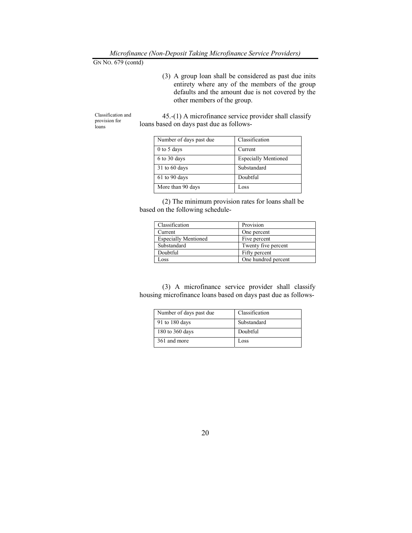(3) A group loan shall be considered as past due inits entirety where any of the members of the group defaults and the amount due is not covered by the other members of the group.

Classification and provision for loans

 45.-(1) A microfinance service provider shall classify loans based on days past due as follows-

| Number of days past due | Classification              |  |
|-------------------------|-----------------------------|--|
| $0$ to 5 days           | Current                     |  |
| 6 to 30 days            | <b>Especially Mentioned</b> |  |
| $31$ to 60 days         | Substandard                 |  |
| $61$ to 90 days         | Doubtful                    |  |
| More than 90 days       | Loss                        |  |

 (2) The minimum provision rates for loans shall be based on the following schedule-

| Classification              | Provision           |  |
|-----------------------------|---------------------|--|
| Current                     | One percent         |  |
| <b>Especially Mentioned</b> | Five percent        |  |
| Substandard                 | Twenty five percent |  |
| Doubtful                    | Fifty percent       |  |
| <b>OSS</b>                  | One hundred percent |  |

 (3) A microfinance service provider shall classify housing microfinance loans based on days past due as follows-

| Number of days past due | Classification |
|-------------------------|----------------|
| 91 to 180 days          | Substandard    |
| 180 to 360 days         | Doubtful       |
| 361 and more            | Loss           |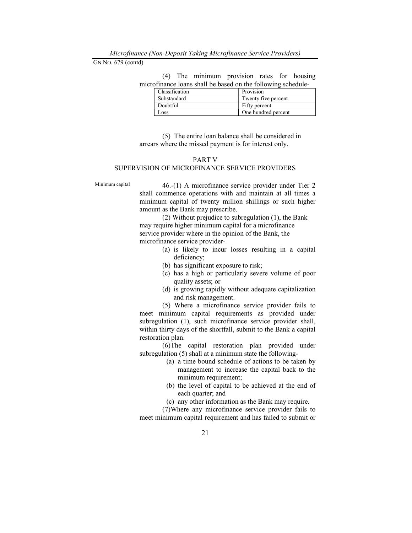Microfinance (Non-Deposit Taking Microfinance Service Providers)

GN NO. 679 (contd)

 (4) The minimum provision rates for housing microfinance loans shall be based on the following schedule-

| Classification | Provision           |  |
|----------------|---------------------|--|
| Substandard    | Twenty five percent |  |
| Doubtful       | Fifty percent       |  |
| $.0$ SS        | One hundred percent |  |

 (5) The entire loan balance shall be considered in arrears where the missed payment is for interest only.

### PART V SUPERVISION OF MICROFINANCE SERVICE PROVIDERS

Minimum capital 46.-(1) A microfinance service provider under Tier 2 shall commence operations with and maintain at all times a minimum capital of twenty million shillings or such higher amount as the Bank may prescribe.

> (2) Without prejudice to subregulation (1), the Bank may require higher minimum capital for a microfinance service provider where in the opinion of the Bank, the microfinance service provider-

- (a) is likely to incur losses resulting in a capital deficiency;
- (b) has significant exposure to risk;
- (c) has a high or particularly severe volume of poor quality assets; or
- (d) is growing rapidly without adequate capitalization and risk management.

 (5) Where a microfinance service provider fails to meet minimum capital requirements as provided under subregulation (1), such microfinance service provider shall, within thirty days of the shortfall, submit to the Bank a capital restoration plan.

 (6)The capital restoration plan provided under subregulation (5) shall at a minimum state the following-

- (a) a time bound schedule of actions to be taken by management to increase the capital back to the minimum requirement;
- (b) the level of capital to be achieved at the end of each quarter; and
- (c) any other information as the Bank may require.

 (7)Where any microfinance service provider fails to meet minimum capital requirement and has failed to submit or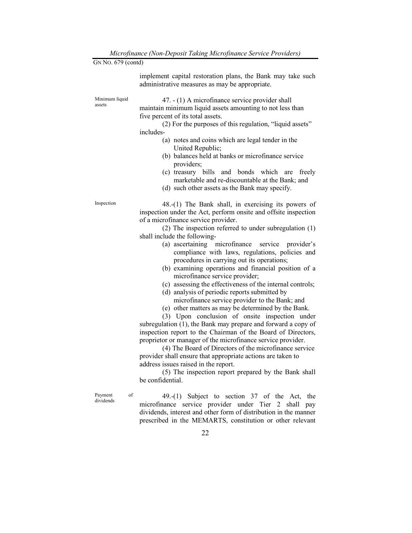| GN No. 679 (contd)         | merofinance (100 Deposit Taning merofinance Service Troviacis)                                                                                                                                                                                                                                                                                                                                                                                                                                                                                                                                                                                                                                                                                                                                                                                                                                                                                                                                                                                                                                                                                                                                                                |
|----------------------------|-------------------------------------------------------------------------------------------------------------------------------------------------------------------------------------------------------------------------------------------------------------------------------------------------------------------------------------------------------------------------------------------------------------------------------------------------------------------------------------------------------------------------------------------------------------------------------------------------------------------------------------------------------------------------------------------------------------------------------------------------------------------------------------------------------------------------------------------------------------------------------------------------------------------------------------------------------------------------------------------------------------------------------------------------------------------------------------------------------------------------------------------------------------------------------------------------------------------------------|
|                            | implement capital restoration plans, the Bank may take such<br>administrative measures as may be appropriate.                                                                                                                                                                                                                                                                                                                                                                                                                                                                                                                                                                                                                                                                                                                                                                                                                                                                                                                                                                                                                                                                                                                 |
| Minimum liquid<br>assets   | 47. $- (1)$ A microfinance service provider shall<br>maintain minimum liquid assets amounting to not less than<br>five percent of its total assets.<br>(2) For the purposes of this regulation, "liquid assets"<br>includes-<br>(a) notes and coins which are legal tender in the<br>United Republic;<br>(b) balances held at banks or microfinance service<br>providers;<br>(c) treasury bills and bonds which are freely<br>marketable and re-discountable at the Bank; and<br>(d) such other assets as the Bank may specify.                                                                                                                                                                                                                                                                                                                                                                                                                                                                                                                                                                                                                                                                                               |
| Inspection                 | $48-(1)$ The Bank shall, in exercising its powers of<br>inspection under the Act, perform onsite and offsite inspection<br>of a microfinance service provider.<br>(2) The inspection referred to under subregulation (1)<br>shall include the following-<br>(a) ascertaining microfinance service provider's<br>compliance with laws, regulations, policies and<br>procedures in carrying out its operations;<br>(b) examining operations and financial position of a<br>microfinance service provider;<br>(c) assessing the effectiveness of the internal controls;<br>(d) analysis of periodic reports submitted by<br>microfinance service provider to the Bank; and<br>(e) other matters as may be determined by the Bank.<br>(3) Upon conclusion of onsite inspection under<br>subregulation (1), the Bank may prepare and forward a copy of<br>inspection report to the Chairman of the Board of Directors,<br>proprietor or manager of the microfinance service provider.<br>(4) The Board of Directors of the microfinance service<br>provider shall ensure that appropriate actions are taken to<br>address issues raised in the report.<br>(5) The inspection report prepared by the Bank shall<br>be confidential. |
| of<br>Payment<br>dividends | 49.-(1) Subject to section 37 of the Act, the<br>microfinance service provider under Tier 2 shall pay<br>dividends, interest and other form of distribution in the manner<br>prescribed in the MEMARTS, constitution or other relevant                                                                                                                                                                                                                                                                                                                                                                                                                                                                                                                                                                                                                                                                                                                                                                                                                                                                                                                                                                                        |
|                            | 22                                                                                                                                                                                                                                                                                                                                                                                                                                                                                                                                                                                                                                                                                                                                                                                                                                                                                                                                                                                                                                                                                                                                                                                                                            |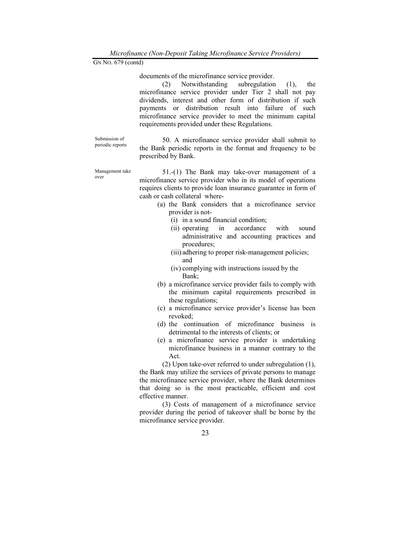documents of the microfinance service provider.

 (2) Notwithstanding subregulation (1), the microfinance service provider under Tier 2 shall not pay dividends, interest and other form of distribution if such payments or distribution result into failure of such microfinance service provider to meet the minimum capital requirements provided under these Regulations.

Submission of periodic reports

 50. A microfinance service provider shall submit to the Bank periodic reports in the format and frequency to be prescribed by Bank.

Management take over

 51.-(1) The Bank may take-over management of a microfinance service provider who in its model of operations requires clients to provide loan insurance guarantee in form of cash or cash collateral where-

- (a) the Bank considers that a microfinance service provider is not-
	- (i) in a sound financial condition;
	- (ii) operating in accordance with sound administrative and accounting practices and procedures;
	- (iii) adhering to proper risk-management policies; and
	- (iv) complying with instructions issued by the Bank;
- (b) a microfinance service provider fails to comply with the minimum capital requirements prescribed in these regulations;
- (c) a microfinance service provider's license has been revoked;
- (d) the continuation of microfinance business is detrimental to the interests of clients; or
- (e) a microfinance service provider is undertaking microfinance business in a manner contrary to the Act.

 (2) Upon take-over referred to under subregulation (1), the Bank may utilize the services of private persons to manage the microfinance service provider, where the Bank determines that doing so is the most practicable, efficient and cost effective manner.

 (3) Costs of management of a microfinance service provider during the period of takeover shall be borne by the microfinance service provider.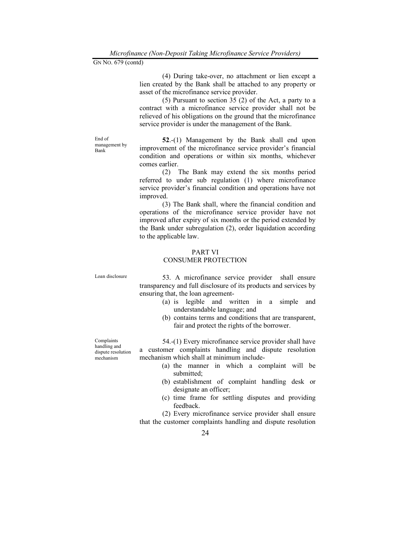(4) During take-over, no attachment or lien except a lien created by the Bank shall be attached to any property or asset of the microfinance service provider.

 (5) Pursuant to section 35 (2) of the Act, a party to a contract with a microfinance service provider shall not be relieved of his obligations on the ground that the microfinance service provider is under the management of the Bank.

End of management by Bank

52.-(1) Management by the Bank shall end upon improvement of the microfinance service provider's financial condition and operations or within six months, whichever comes earlier.

 (2) The Bank may extend the six months period referred to under sub regulation (1) where microfinance service provider's financial condition and operations have not improved.

 (3) The Bank shall, where the financial condition and operations of the microfinance service provider have not improved after expiry of six months or the period extended by the Bank under subregulation (2), order liquidation according to the applicable law.

#### PART VI

#### CONSUMER PROTECTION

Loan disclosure 53. A microfinance service provider shall ensure transparency and full disclosure of its products and services by ensuring that, the loan agreement-

- (a) is legible and written in a simple and understandable language; and
- (b) contains terms and conditions that are transparent, fair and protect the rights of the borrower.

 54.-(1) Every microfinance service provider shall have a customer complaints handling and dispute resolution mechanism which shall at minimum include-

- (a) the manner in which a complaint will be submitted;
- (b) establishment of complaint handling desk or designate an officer;
- (c) time frame for settling disputes and providing feedback.

 (2) Every microfinance service provider shall ensure that the customer complaints handling and dispute resolution

Complaints handling and dispute resolution mechanism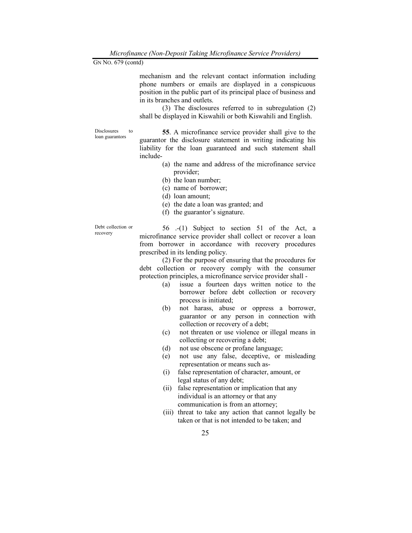mechanism and the relevant contact information including phone numbers or emails are displayed in a conspicuous position in the public part of its principal place of business and in its branches and outlets.

 (3) The disclosures referred to in subregulation (2) shall be displayed in Kiswahili or both Kiswahili and English.

Disclosures to loan guarantors

55. A microfinance service provider shall give to the guarantor the disclosure statement in writing indicating his liability for the loan guaranteed and such statement shall include-

- (a) the name and address of the microfinance service provider;
- (b) the loan number;
- (c) name of borrower;
- (d) loan amount;
- (e) the date a loan was granted; and
- (f) the guarantor's signature.

Debt collection or recovery

 56 .-(1) Subject to section 51 of the Act, a microfinance service provider shall collect or recover a loan from borrower in accordance with recovery procedures prescribed in its lending policy.

 (2) For the purpose of ensuring that the procedures for debt collection or recovery comply with the consumer protection principles, a microfinance service provider shall -

- (a) issue a fourteen days written notice to the borrower before debt collection or recovery process is initiated;
- (b) not harass, abuse or oppress a borrower, guarantor or any person in connection with collection or recovery of a debt;
- (c) not threaten or use violence or illegal means in collecting or recovering a debt;
- (d) not use obscene or profane language;
- (e) not use any false, deceptive, or misleading representation or means such as-
- (i) false representation of character, amount, or legal status of any debt;
- (ii) false representation or implication that any individual is an attorney or that any communication is from an attorney;
- (iii) threat to take any action that cannot legally be taken or that is not intended to be taken; and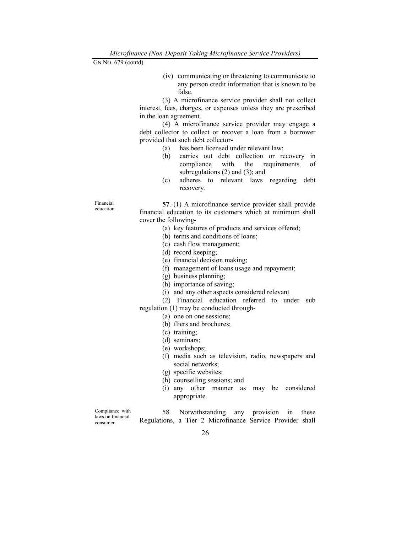(iv) communicating or threatening to communicate to any person credit information that is known to be false.

 (3) A microfinance service provider shall not collect interest, fees, charges, or expenses unless they are prescribed in the loan agreement.

 (4) A microfinance service provider may engage a debt collector to collect or recover a loan from a borrower provided that such debt collector-

- (a) has been licensed under relevant law;
- (b) carries out debt collection or recovery in compliance with the requirements of subregulations (2) and (3); and
- (c) adheres to relevant laws regarding debt recovery.

57.-(1) A microfinance service provider shall provide financial education to its customers which at minimum shall cover the following-

- (a) key features of products and services offered;
- (b) terms and conditions of loans;
- (c) cash flow management;
- (d) record keeping;
- (e) financial decision making;
- (f) management of loans usage and repayment;
- (g) business planning;
- (h) importance of saving;
- (i) and any other aspects considered relevant
- (2) Financial education referred to under sub
- regulation (1) may be conducted through-
	- (a) one on one sessions;
	- (b) fliers and brochures;
	- (c) training;
	- (d) seminars;
	- (e) workshops;
	- (f) media such as television, radio, newspapers and social networks;
	- (g) specific websites;
	- (h) counselling sessions; and
	- (i) any other manner as may be considered appropriate.

Compliance with laws on financial consumer

 58. Notwithstanding any provision in these Regulations, a Tier 2 Microfinance Service Provider shall

Financial education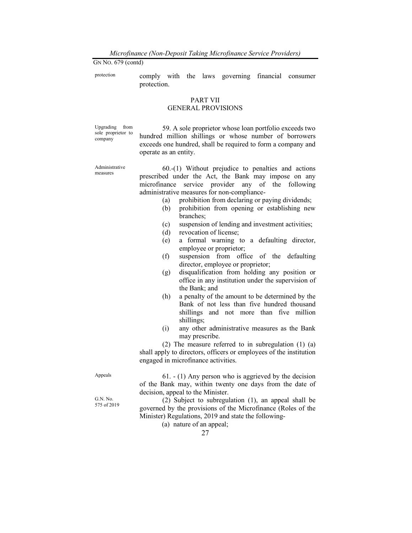protection comply with the laws governing financial consumer protection.

# PART VII

# GENERAL PROVISIONS

Upgrading from sole proprietor to company

 59. A sole proprietor whose loan portfolio exceeds two hundred million shillings or whose number of borrowers exceeds one hundred, shall be required to form a company and operate as an entity.

Administrative measures

 60.-(1) Without prejudice to penalties and actions prescribed under the Act, the Bank may impose on any microfinance service provider any of the following administrative measures for non-compliance-

- (a) prohibition from declaring or paying dividends;
- (b) prohibition from opening or establishing new branches;
- (c) suspension of lending and investment activities;
- (d) revocation of license;
- (e) a formal warning to a defaulting director, employee or proprietor;
- (f) suspension from office of the defaulting director, employee or proprietor;
- (g) disqualification from holding any position or office in any institution under the supervision of the Bank; and
- (h) a penalty of the amount to be determined by the Bank of not less than five hundred thousand shillings and not more than five million shillings;
- (i) any other administrative measures as the Bank may prescribe.

 (2) The measure referred to in subregulation (1) (a) shall apply to directors, officers or employees of the institution engaged in microfinance activities.

Appeals  $61. - (1)$  Any person who is aggrieved by the decision of the Bank may, within twenty one days from the date of decision, appeal to the Minister.

> (2) Subject to subregulation (1), an appeal shall be governed by the provisions of the Microfinance (Roles of the Minister) Regulations, 2019 and state the following-

> > (a) nature of an appeal;

G.N. No. 575 of 2019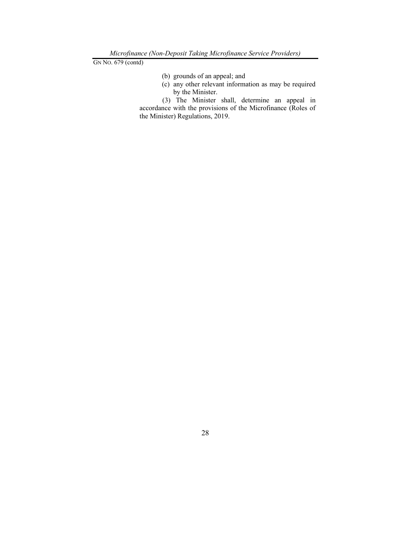- (b) grounds of an appeal; and
- (c) any other relevant information as may be required by the Minister.

 (3) The Minister shall, determine an appeal in accordance with the provisions of the Microfinance (Roles of the Minister) Regulations, 2019.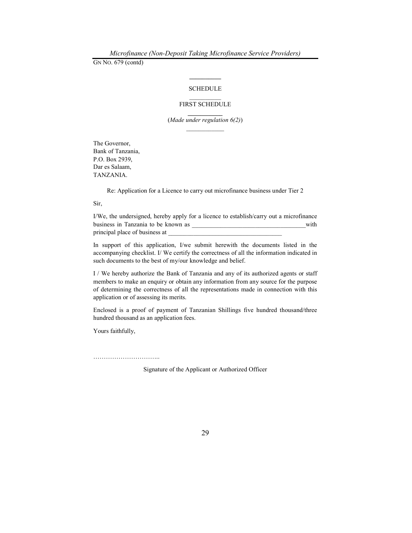# $\mathcal{L}=\mathcal{L}^{\mathcal{L}}$ SCHEDULE

# FIRST SCHEDULE

(Made under regulation 6(2))  $\mathcal{L}_\text{max}$ 

The Governor, Bank of Tanzania, P.O. Box 2939, Dar es Salaam, TANZANIA.

Re: Application for a Licence to carry out microfinance business under Tier 2

Sir,

I/We, the undersigned, hereby apply for a licence to establish/carry out a microfinance business in Tanzania to be known as \_\_\_\_\_\_\_\_\_\_\_\_\_\_\_\_\_\_\_\_\_\_\_\_\_\_\_\_\_\_\_\_\_\_\_\_with principal place of business at

In support of this application, I/we submit herewith the documents listed in the accompanying checklist. I/ We certify the correctness of all the information indicated in such documents to the best of my/our knowledge and belief.

I / We hereby authorize the Bank of Tanzania and any of its authorized agents or staff members to make an enquiry or obtain any information from any source for the purpose of determining the correctness of all the representations made in connection with this application or of assessing its merits.

Enclosed is a proof of payment of Tanzanian Shillings five hundred thousand/three hundred thousand as an application fees.

Yours faithfully,

…………………………..

Signature of the Applicant or Authorized Officer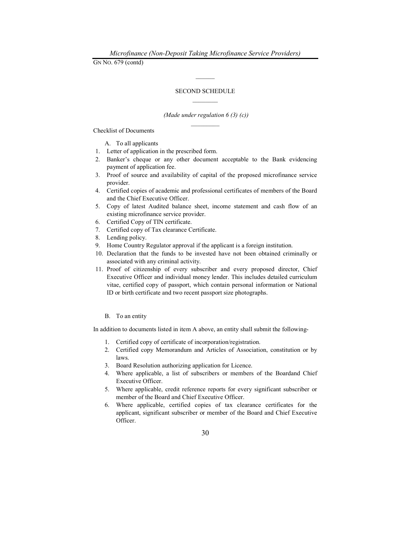#### SECOND SCHEDULE

 $\mathcal{L}=\mathcal{L}$ 

#### (Made under regulation  $6(3)(c)$ )  $\frac{1}{2}$

Checklist of Documents

A. To all applicants

- 1. Letter of application in the prescribed form.
- 2. Banker's cheque or any other document acceptable to the Bank evidencing payment of application fee.
- 3. Proof of source and availability of capital of the proposed microfinance service provider.
- 4. Certified copies of academic and professional certificates of members of the Board and the Chief Executive Officer.
- 5. Copy of latest Audited balance sheet, income statement and cash flow of an existing microfinance service provider.
- 6. Certified Copy of TIN certificate.
- 7. Certified copy of Tax clearance Certificate.
- 8. Lending policy.
- 9. Home Country Regulator approval if the applicant is a foreign institution.
- 10. Declaration that the funds to be invested have not been obtained criminally or associated with any criminal activity.
- 11. Proof of citizenship of every subscriber and every proposed director, Chief Executive Officer and individual money lender. This includes detailed curriculum vitae, certified copy of passport, which contain personal information or National ID or birth certificate and two recent passport size photographs.

#### B. To an entity

In addition to documents listed in item A above, an entity shall submit the following-

- 1. Certified copy of certificate of incorporation/registration.
- 2. Certified copy Memorandum and Articles of Association, constitution or by laws.
- 3. Board Resolution authorizing application for Licence.
- 4. Where applicable, a list of subscribers or members of the Boardand Chief Executive Officer.
- 5. Where applicable, credit reference reports for every significant subscriber or member of the Board and Chief Executive Officer.
- 6. Where applicable, certified copies of tax clearance certificates for the applicant, significant subscriber or member of the Board and Chief Executive Officer.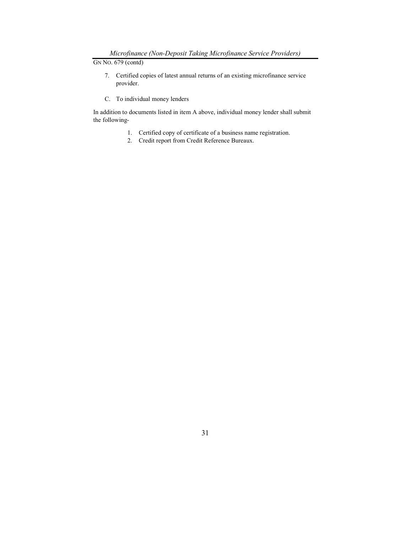- 7. Certified copies of latest annual returns of an existing microfinance service provider.
- C. To individual money lenders

In addition to documents listed in item A above, individual money lender shall submit the following-

- 1. Certified copy of certificate of a business name registration.
- 2. Credit report from Credit Reference Bureaux.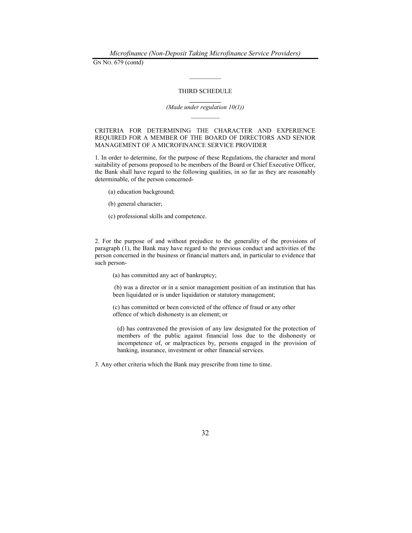#### THIRD SCHEDULE

 $\frac{1}{2}$ 

#### $\frac{1}{2}$ (Made under regulation 10(1))

CRITERIA FOR DETERMINING THE CHARACTER AND EXPERIENCE REQUIRED FOR A MEMBER OF THE BOARD OF DIRECTORS AND SENIOR MANAGEMENT OF A MICROFINANCE SERVICE PROVIDER

1. In order to determine, for the purpose of these Regulations, the character and moral suitability of persons proposed to be members of the Board or Chief Executive Officer, the Bank shall have regard to the following qualities, in so far as they are reasonably determinable, of the person concerned-

- (a) education background;
- (b) general character;
- (c) professional skills and competence.

2. For the purpose of and without prejudice to the generality of the provisions of paragraph (1), the Bank may have regard to the previous conduct and activities of the person concerned in the business or financial matters and, in particular to evidence that such person-

(a) has committed any act of bankruptcy;

(b) was a director or in a senior management position of an institution that has been liquidated or is under liquidation or statutory management;

(c) has committed or been convicted of the offence of fraud or any other offence of which dishonesty is an element; or

(d) has contravened the provision of any law designated for the protection of members of the public against financial loss due to the dishonesty or incompetence of, or malpractices by, persons engaged in the provision of banking, insurance, investment or other financial services.

3. Any other criteria which the Bank may prescribe from time to time.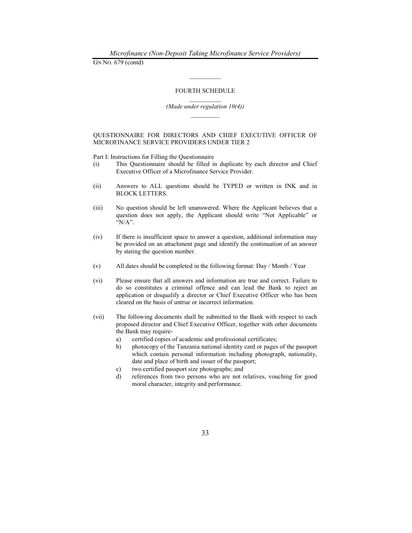#### FOURTH SCHEDULE

 $\mathcal{L}=\mathcal{L}$ 

#### (Made under regulation 10(4))

#### QUESTIONNAIRE FOR DIRECTORS AND CHIEF EXECUTIVE OFFICER OF MICROFINANCE SERVICE PROVIDERS UNDER TIER 2

Part I: Instructions for Filling the Questionnaire

- (i) This Questionnaire should be filled in duplicate by each director and Chief Executive Officer of a Microfinance Service Provider.
- (ii) Answers to ALL questions should be TYPED or written in INK and in BLOCK LETTERS.
- (iii) No question should be left unanswered. Where the Applicant believes that a question does not apply, the Applicant should write "Not Applicable" or "N/A".
- (iv) If there is insufficient space to answer a question, additional information may be provided on an attachment page and identify the continuation of an answer by stating the question number.
- (v) All dates should be completed in the following format: Day / Month / Year
- (vi) Please ensure that all answers and information are true and correct. Failure to do so constitutes a criminal offence and can lead the Bank to reject an application or disqualify a director or Chief Executive Officer who has been cleared on the basis of untrue or incorrect information.
- (vii) The following documents shall be submitted to the Bank with respect to each proposed director and Chief Executive Officer, together with other documents the Bank may require
	- a) certified copies of academic and professional certificates;
	- b) photocopy of the Tanzania national identity card or pages of the passport which contain personal information including photograph, nationality, date and place of birth and issuer of the passport;
	- c) two certified passport size photographs; and
	- d) references from two persons who are not relatives, vouching for good moral character, integrity and performance.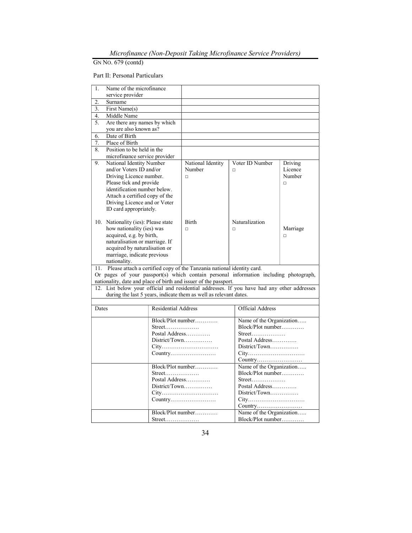## Part II: Personal Particulars

| 1.    | Name of the microfinance                               |                                              |                                                                                             |               |                          |          |
|-------|--------------------------------------------------------|----------------------------------------------|---------------------------------------------------------------------------------------------|---------------|--------------------------|----------|
|       | service provider                                       |                                              |                                                                                             |               |                          |          |
| 2.    | Surname                                                |                                              |                                                                                             |               |                          |          |
| 3.    | First Name(s)                                          |                                              |                                                                                             |               |                          |          |
| 4.    | Middle Name                                            |                                              |                                                                                             |               |                          |          |
| 5.    | Are there any names by which                           |                                              |                                                                                             |               |                          |          |
|       | you are also known as?                                 |                                              |                                                                                             |               |                          |          |
| 6.    | Date of Birth                                          |                                              |                                                                                             |               |                          |          |
| 7.    | Place of Birth                                         |                                              |                                                                                             |               |                          |          |
| 8.    | Position to be held in the                             |                                              |                                                                                             |               |                          |          |
|       | microfinance service provider                          |                                              |                                                                                             |               |                          |          |
| 9.    | National Identity Number                               |                                              | National Identity                                                                           |               | Voter ID Number          | Driving  |
|       | and/or Voters ID and/or                                |                                              | Number                                                                                      | $\Box$        |                          | Licence  |
|       | Driving Licence number.                                |                                              | $\Box$                                                                                      |               |                          | Number   |
|       | Please tick and provide                                |                                              |                                                                                             |               |                          | $\Box$   |
|       | identification number below.                           |                                              |                                                                                             |               |                          |          |
|       | Attach a certified copy of the                         |                                              |                                                                                             |               |                          |          |
|       | Driving Licence and or Voter<br>ID card appropriately. |                                              |                                                                                             |               |                          |          |
|       |                                                        |                                              |                                                                                             |               |                          |          |
|       | 10. Nationality (ies): Please state                    |                                              | <b>Birth</b>                                                                                |               | Naturalization           |          |
|       | how nationality (ies) was                              |                                              | $\Box$                                                                                      | $\Box$        |                          | Marriage |
|       | acquired, e.g. by birth,                               |                                              |                                                                                             |               |                          | $\Box$   |
|       | naturalisation or marriage. If                         |                                              |                                                                                             |               |                          |          |
|       | acquired by naturalisation or                          |                                              |                                                                                             |               |                          |          |
|       | marriage, indicate previous                            |                                              |                                                                                             |               |                          |          |
|       | nationality.                                           |                                              |                                                                                             |               |                          |          |
|       |                                                        |                                              | 11. Please attach a certified copy of the Tanzania national identity card.                  |               |                          |          |
|       |                                                        |                                              | Or pages of your passport(s) which contain personal information including photograph,       |               |                          |          |
|       |                                                        |                                              | nationality, date and place of birth and issuer of the passport.                            |               |                          |          |
|       |                                                        |                                              | 12. List below your official and residential addresses. If you have had any other addresses |               |                          |          |
|       |                                                        |                                              | during the last 5 years, indicate them as well as relevant dates.                           |               |                          |          |
|       |                                                        |                                              |                                                                                             |               |                          |          |
| Dates |                                                        | <b>Residential Address</b>                   |                                                                                             |               | <b>Official Address</b>  |          |
|       |                                                        |                                              | Block/Plot number                                                                           |               | Name of the Organization |          |
|       |                                                        | Street                                       |                                                                                             |               | Block/Plot number        |          |
|       |                                                        | Postal Address                               |                                                                                             |               |                          |          |
|       |                                                        | District/Town                                | Postal Address                                                                              |               |                          |          |
|       |                                                        | City                                         |                                                                                             | District/Town |                          |          |
|       |                                                        |                                              | Country                                                                                     |               | City                     |          |
|       |                                                        |                                              |                                                                                             |               |                          |          |
|       |                                                        |                                              | Block/Plot number                                                                           |               | Name of the Organization |          |
|       |                                                        | $Street. \ldots \ldots \ldots \ldots \ldots$ |                                                                                             |               | $Block/Plot$ number      |          |
|       |                                                        | Postal Address                               |                                                                                             |               | Street                   |          |
|       |                                                        |                                              | District/Town                                                                               |               | Postal Address           |          |
|       |                                                        |                                              | City                                                                                        |               | District/Town            |          |
|       |                                                        |                                              | Country                                                                                     |               | City                     |          |
|       |                                                        |                                              |                                                                                             |               |                          |          |
|       |                                                        |                                              | Block/Plot number                                                                           |               | Name of the Organization |          |
|       |                                                        | Street                                       |                                                                                             |               | Block/Plot number        |          |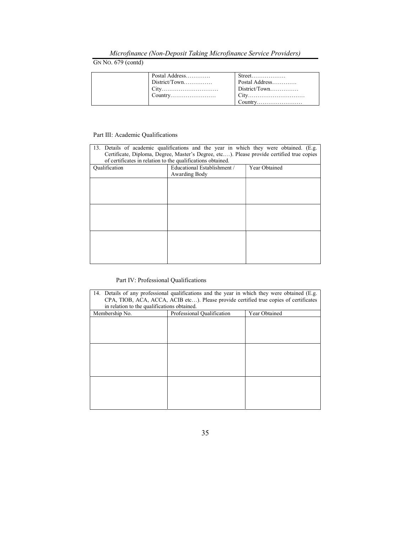# Microfinance (Non-Deposit Taking Microfinance Service Providers)

# GN No. 679 (contd)

| Postal Address | Postal Address<br>$\mid$ District/Town |
|----------------|----------------------------------------|
|----------------|----------------------------------------|

## Part III: Academic Qualifications

| 13. Details of academic qualifications and the year in which they were obtained. (E.g.<br>Certificate, Diploma, Degree, Master's Degree, etc). Please provide certified true copies<br>of certificates in relation to the qualifications obtained. |                             |               |  |  |
|----------------------------------------------------------------------------------------------------------------------------------------------------------------------------------------------------------------------------------------------------|-----------------------------|---------------|--|--|
| Qualification                                                                                                                                                                                                                                      | Educational Establishment / | Year Obtained |  |  |
|                                                                                                                                                                                                                                                    | Awarding Body               |               |  |  |
|                                                                                                                                                                                                                                                    |                             |               |  |  |
|                                                                                                                                                                                                                                                    |                             |               |  |  |
|                                                                                                                                                                                                                                                    |                             |               |  |  |
|                                                                                                                                                                                                                                                    |                             |               |  |  |
|                                                                                                                                                                                                                                                    |                             |               |  |  |
|                                                                                                                                                                                                                                                    |                             |               |  |  |
|                                                                                                                                                                                                                                                    |                             |               |  |  |
|                                                                                                                                                                                                                                                    |                             |               |  |  |
|                                                                                                                                                                                                                                                    |                             |               |  |  |
|                                                                                                                                                                                                                                                    |                             |               |  |  |
|                                                                                                                                                                                                                                                    |                             |               |  |  |

## Part IV: Professional Qualifications

| 14. Details of any professional qualifications and the year in which they were obtained (E.g.<br>CPA, TIOB, ACA, ACCA, ACIB etc). Please provide certified true copies of certificates<br>in relation to the qualifications obtained. |  |  |  |
|---------------------------------------------------------------------------------------------------------------------------------------------------------------------------------------------------------------------------------------|--|--|--|
| Membership No.<br>Professional Qualification<br>Year Obtained                                                                                                                                                                         |  |  |  |
|                                                                                                                                                                                                                                       |  |  |  |
|                                                                                                                                                                                                                                       |  |  |  |
|                                                                                                                                                                                                                                       |  |  |  |
|                                                                                                                                                                                                                                       |  |  |  |
|                                                                                                                                                                                                                                       |  |  |  |
|                                                                                                                                                                                                                                       |  |  |  |
|                                                                                                                                                                                                                                       |  |  |  |
|                                                                                                                                                                                                                                       |  |  |  |
|                                                                                                                                                                                                                                       |  |  |  |
|                                                                                                                                                                                                                                       |  |  |  |
|                                                                                                                                                                                                                                       |  |  |  |
|                                                                                                                                                                                                                                       |  |  |  |
|                                                                                                                                                                                                                                       |  |  |  |
|                                                                                                                                                                                                                                       |  |  |  |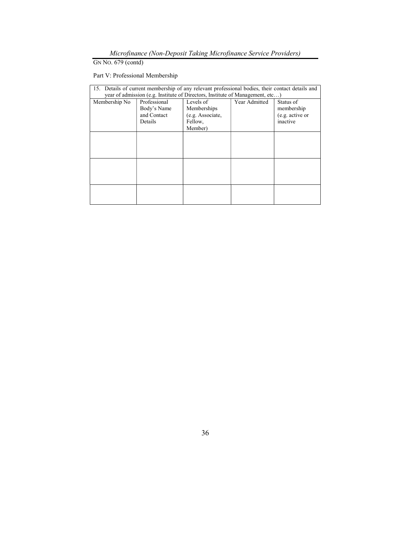Microfinance (Non-Deposit Taking Microfinance Service Providers)

Part V: Professional Membership

| 15. Details of current membership of any relevant professional bodies, their contact details and<br>year of admission (e.g. Institute of Directors, Institute of Management, etc) |                                                       |                                                                    |               |                                                        |
|-----------------------------------------------------------------------------------------------------------------------------------------------------------------------------------|-------------------------------------------------------|--------------------------------------------------------------------|---------------|--------------------------------------------------------|
| Membership No                                                                                                                                                                     | Professional<br>Body's Name<br>and Contact<br>Details | Levels of<br>Memberships<br>(e.g. Associate,<br>Fellow,<br>Member) | Year Admitted | Status of<br>membership<br>(e.g. active or<br>inactive |
|                                                                                                                                                                                   |                                                       |                                                                    |               |                                                        |
|                                                                                                                                                                                   |                                                       |                                                                    |               |                                                        |
|                                                                                                                                                                                   |                                                       |                                                                    |               |                                                        |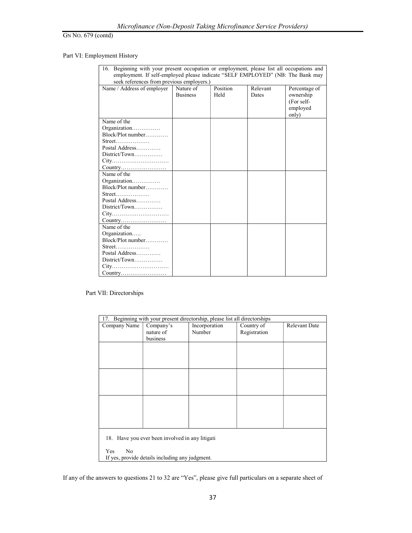## Part VI: Employment History

| 16. Beginning with your present occupation or employment, please list all occupations and |                 |          |          |               |
|-------------------------------------------------------------------------------------------|-----------------|----------|----------|---------------|
| employment. If self-employed please indicate "SELF EMPLOYED" (NB: The Bank may            |                 |          |          |               |
| seek references from previous employers.)                                                 |                 |          |          |               |
| Name / Address of employer                                                                | Nature of       | Position | Relevant | Percentage of |
|                                                                                           | <b>Business</b> | Held     | Dates    | ownership     |
|                                                                                           |                 |          |          | (For self-    |
|                                                                                           |                 |          |          | employed      |
|                                                                                           |                 |          |          | only)         |
| Name of the                                                                               |                 |          |          |               |
| Organization                                                                              |                 |          |          |               |
| Block/Plot number                                                                         |                 |          |          |               |
|                                                                                           |                 |          |          |               |
| Postal Address                                                                            |                 |          |          |               |
|                                                                                           |                 |          |          |               |
|                                                                                           |                 |          |          |               |
|                                                                                           |                 |          |          |               |
| Name of the                                                                               |                 |          |          |               |
| Organization                                                                              |                 |          |          |               |
| Block/Plot number                                                                         |                 |          |          |               |
|                                                                                           |                 |          |          |               |
| Postal Address                                                                            |                 |          |          |               |
| District/Town                                                                             |                 |          |          |               |
| City                                                                                      |                 |          |          |               |
| Country                                                                                   |                 |          |          |               |
| Name of the                                                                               |                 |          |          |               |
| Organization                                                                              |                 |          |          |               |
| Block/Plot number                                                                         |                 |          |          |               |
|                                                                                           |                 |          |          |               |
| Postal Address                                                                            |                 |          |          |               |
|                                                                                           |                 |          |          |               |
|                                                                                           |                 |          |          |               |
|                                                                                           |                 |          |          |               |

Part VII: Directorships

| 17. Beginning with your present directorship, please list all directorships |                                                 |               |              |                      |
|-----------------------------------------------------------------------------|-------------------------------------------------|---------------|--------------|----------------------|
| Company Name                                                                | Company's                                       | Incorporation | Country of   | <b>Relevant Date</b> |
|                                                                             | nature of                                       | Number        | Registration |                      |
|                                                                             | business                                        |               |              |                      |
|                                                                             |                                                 |               |              |                      |
|                                                                             |                                                 |               |              |                      |
|                                                                             |                                                 |               |              |                      |
|                                                                             |                                                 |               |              |                      |
|                                                                             |                                                 |               |              |                      |
|                                                                             |                                                 |               |              |                      |
|                                                                             |                                                 |               |              |                      |
|                                                                             |                                                 |               |              |                      |
|                                                                             |                                                 |               |              |                      |
|                                                                             |                                                 |               |              |                      |
|                                                                             |                                                 |               |              |                      |
|                                                                             |                                                 |               |              |                      |
|                                                                             |                                                 |               |              |                      |
| 18. Have you ever been involved in any litigati                             |                                                 |               |              |                      |
|                                                                             |                                                 |               |              |                      |
| Yes<br>No                                                                   |                                                 |               |              |                      |
|                                                                             | If yes, provide details including any judgment. |               |              |                      |

If any of the answers to questions 21 to 32 are "Yes", please give full particulars on a separate sheet of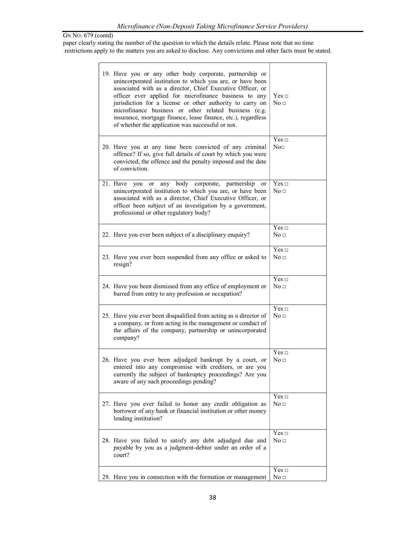paper clearly stating the number of the question to which the details relate. Please note that no time restrictions apply to the matters you are asked to disclose. Any convictions and other facts must be stated.

|  | 19. Have you or any other body corporate, partnership or                                                                                                                                                                                                                                                                                                                                                                     |                               |
|--|------------------------------------------------------------------------------------------------------------------------------------------------------------------------------------------------------------------------------------------------------------------------------------------------------------------------------------------------------------------------------------------------------------------------------|-------------------------------|
|  | unincorporated institution to which you are, or have been<br>associated with as a director, Chief Executive Officer, or<br>officer ever applied for microfinance business to any<br>jurisdiction for a license or other authority to carry on<br>microfinance business or other related business (e.g.<br>insurance, mortgage finance, lease finance, etc.), regardless<br>of whether the application was successful or not. | $Yes \Box$<br>No <sub>□</sub> |
|  | 20. Have you at any time been convicted of any criminal<br>offence? If so, give full details of court by which you were<br>convicted, the offence and the penalty imposed and the date<br>of conviction.                                                                                                                                                                                                                     | $Yes \Box$<br>$\text{No}$     |
|  | any body corporate, partnership or<br>21. Have<br>you<br><sub>or</sub><br>unincorporated institution to which you are, or have been<br>associated with as a director, Chief Executive Officer, or<br>officer been subject of an investigation by a government,<br>professional or other regulatory body?                                                                                                                     | Yes $\Box$<br>No <sub>1</sub> |
|  | 22. Have you ever been subject of a disciplinary enquiry?                                                                                                                                                                                                                                                                                                                                                                    | Yes $\Box$<br>No <sub>□</sub> |
|  | 23. Have you ever been suspended from any office or asked to<br>resign?                                                                                                                                                                                                                                                                                                                                                      | $Yes \Box$<br>No <sub>□</sub> |
|  | 24. Have you been dismissed from any office of employment or<br>barred from entry to any profession or occupation?                                                                                                                                                                                                                                                                                                           | Yes $\Box$<br>No <sub>□</sub> |
|  | 25. Have you ever been disqualified from acting as a director of<br>a company, or from acting in the management or conduct of<br>the affairs of the company, partnership or unincorporated<br>company?                                                                                                                                                                                                                       | Yes $\Box$<br>No <sub>□</sub> |
|  | 26. Have you ever been adjudged bankrupt by a court, or<br>entered into any compromise with creditors, or are you<br>currently the subject of bankruptcy proceedings? Are you<br>aware of any such proceedings pending?                                                                                                                                                                                                      | Yes $\Box$<br>No <sub>□</sub> |
|  | 27. Have you ever failed to honor any credit obligation as<br>borrower of any bank or financial institution or other money<br>lending institution?                                                                                                                                                                                                                                                                           | $Yes \Box$<br>No <sub>□</sub> |
|  | 28. Have you failed to satisfy any debt adjudged due and<br>payable by you as a judgment-debtor under an order of a<br>court?                                                                                                                                                                                                                                                                                                | $Yes \Box$<br>No <sub>1</sub> |
|  | 29. Have you in connection with the formation or management                                                                                                                                                                                                                                                                                                                                                                  | Yes ⊡<br>No <sub>□</sub>      |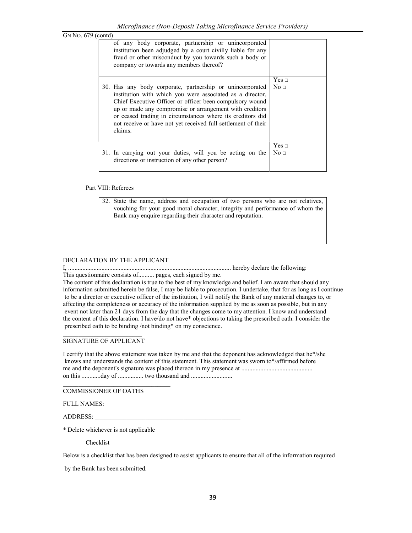| 679 (contd) |                                                                                                                                                                                                                                                                                                                                                                                         |                          |
|-------------|-----------------------------------------------------------------------------------------------------------------------------------------------------------------------------------------------------------------------------------------------------------------------------------------------------------------------------------------------------------------------------------------|--------------------------|
|             | of any body corporate, partnership or unincorporated<br>institution been adjudged by a court civilly liable for any<br>fraud or other misconduct by you towards such a body or<br>company or towards any members thereof?                                                                                                                                                               |                          |
|             | 30. Has any body corporate, partnership or unincorporated<br>institution with which you were associated as a director,<br>Chief Executive Officer or officer been compulsory wound<br>up or made any compromise or arrangement with creditors<br>or ceased trading in circumstances where its creditors did<br>not receive or have not yet received full settlement of their<br>claims. | Yes ⊡<br>No <sub>□</sub> |
|             | 31. In carrying out your duties, will you be acting on the<br>directions or instruction of any other person?                                                                                                                                                                                                                                                                            | Yes ⊡<br>No <sub>1</sub> |

### Part VIII: Referees

GN NO.

32. State the name, address and occupation of two persons who are not relatives, vouching for your good moral character, integrity and performance of whom the Bank may enquire regarding their character and reputation.

### DECLARATION BY THE APPLICANT

I, ....................................................................................................... hereby declare the following:

This questionnaire consists of.......... pages, each signed by me.

The content of this declaration is true to the best of my knowledge and belief. I am aware that should any information submitted herein be false, I may be liable to prosecution. I undertake, that for as long as I continue to be a director or executive officer of the institution, I will notify the Bank of any material changes to, or affecting the completeness or accuracy of the information supplied by me as soon as possible, but in any event not later than 21 days from the day that the changes come to my attention. I know and understand the content of this declaration. I have/do not have\* objections to taking the prescribed oath. I consider the prescribed oath to be binding /not binding\* on my conscience.

#### $\mathcal{L}_\text{max}$ SIGNATURE OF APPLICANT

I certify that the above statement was taken by me and that the deponent has acknowledged that he\*/she knows and understands the content of this statement. This statement was sworn to\*/affirmed before me and the deponent's signature was placed thereon in my presence at ............................................. on this ............day of ................ two thousand and ..........................

COMMISSIONER OF OATHS

\_\_\_\_\_\_\_\_\_\_\_\_\_\_\_\_\_\_\_\_\_\_\_\_\_\_\_\_\_\_\_\_\_\_

FULL NAMES:

ADDRESS: \_\_\_\_\_\_\_\_\_\_\_\_\_\_\_\_\_\_\_\_\_\_\_\_\_\_\_\_\_\_\_\_\_\_\_\_\_\_\_\_\_\_\_\_\_\_

\* Delete whichever is not applicable

Checklist

Below is a checklist that has been designed to assist applicants to ensure that all of the information required

by the Bank has been submitted.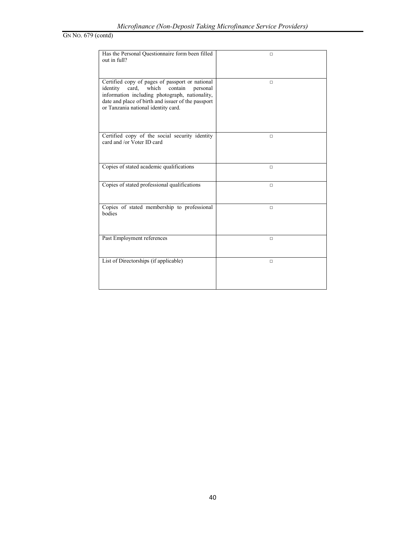| Has the Personal Questionnaire form been filled<br>out in full?                                                                                                                                                                                     | $\Box$ |
|-----------------------------------------------------------------------------------------------------------------------------------------------------------------------------------------------------------------------------------------------------|--------|
| Certified copy of pages of passport or national<br>contain<br>identity<br>card.<br>which<br>personal<br>information including photograph, nationality,<br>date and place of birth and issuer of the passport<br>or Tanzania national identity card. | $\Box$ |
| Certified copy of the social security identity<br>card and /or Voter ID card                                                                                                                                                                        | П      |
| Copies of stated academic qualifications                                                                                                                                                                                                            | $\Box$ |
| Copies of stated professional qualifications                                                                                                                                                                                                        | $\Box$ |
| Copies of stated membership to professional<br>bodies                                                                                                                                                                                               | $\Box$ |
| Past Employment references                                                                                                                                                                                                                          | $\Box$ |
| List of Directorships (if applicable)                                                                                                                                                                                                               | $\Box$ |